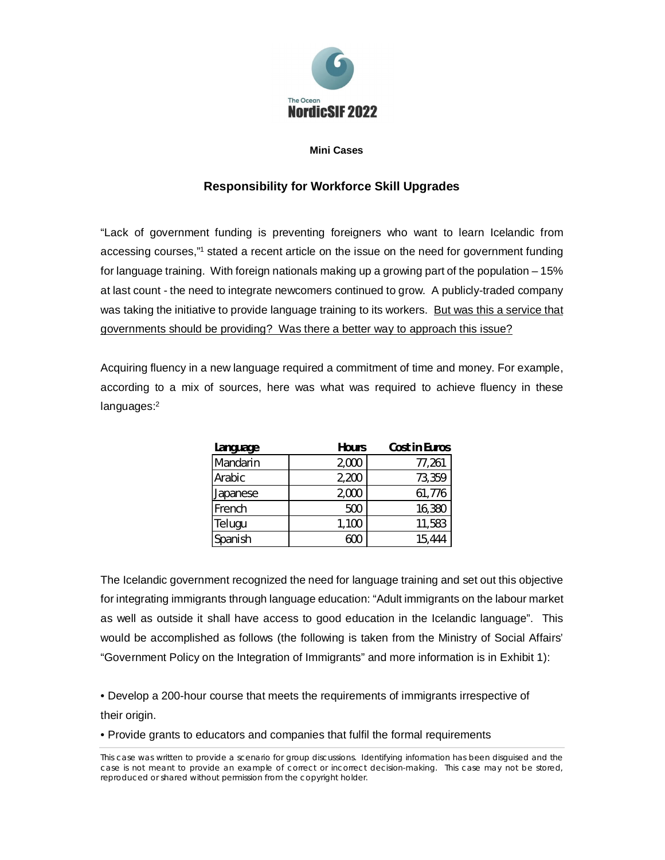

## **Mini Cases**

## **Responsibility for Workforce Skill Upgrades**

"Lack of government funding is preventing foreigners who want to learn Icelandic from accessing courses,"1 stated a recent article on the issue on the need for government funding for language training. With foreign nationals making up a growing part of the population – 15% at last count - the need to integrate newcomers continued to grow. A publicly-traded company was taking the initiative to provide language training to its workers. But was this a service that governments should be providing? Was there a better way to approach this issue?

Acquiring fluency in a new language required a commitment of time and money. For example, according to a mix of sources, here was what was required to achieve fluency in these languages:<sup>2</sup>

| Language | Hours | Cost in Euros |
|----------|-------|---------------|
| Mandarin | 2,000 | 77,261        |
| Arabic   | 2,200 | 73,359        |
| Japanese | 2,000 | 61,776        |
| French   | 500   | 16,380        |
| Telugu   | 1,100 | 11,583        |
| Spanish  | 600   | 15,444        |

The Icelandic government recognized the need for language training and set out this objective for integrating immigrants through language education: "Adult immigrants on the labour market as well as outside it shall have access to good education in the Icelandic language". This would be accomplished as follows (the following is taken from the Ministry of Social Affairs' "Government Policy on the Integration of Immigrants" and more information is in Exhibit 1):

• Develop a 200-hour course that meets the requirements of immigrants irrespective of their origin.

• Provide grants to educators and companies that fulfil the formal requirements

This case was written to provide a scenario for group discussions. Identifying information has been disguised and the case is not meant to provide an example of correct or incorrect decision-making. This case may not be stored, reproduced or shared without permission from the copyright holder.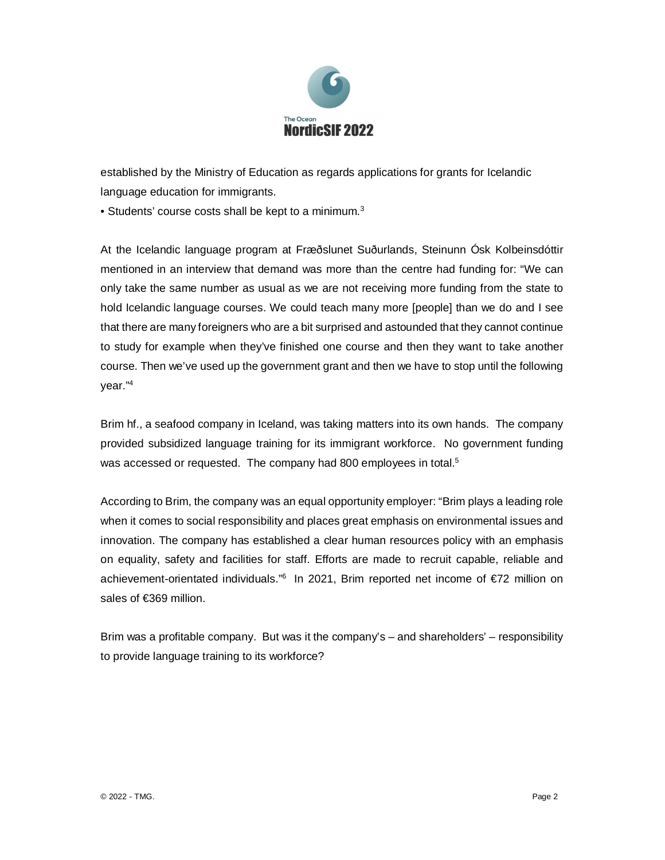

established by the Ministry of Education as regards applications for grants for Icelandic language education for immigrants.

• Students' course costs shall be kept to a minimum.<sup>3</sup>

At the Icelandic language program at Fræðslunet Suðurlands, Steinunn Ósk Kolbeinsdóttir mentioned in an interview that demand was more than the centre had funding for: "We can only take the same number as usual as we are not receiving more funding from the state to hold Icelandic language courses. We could teach many more [people] than we do and I see that there are many foreigners who are a bit surprised and astounded that they cannot continue to study for example when they've finished one course and then they want to take another course. Then we've used up the government grant and then we have to stop until the following year."<sup>4</sup>

Brim hf., a seafood company in Iceland, was taking matters into its own hands. The company provided subsidized language training for its immigrant workforce. No government funding was accessed or requested. The company had 800 employees in total.<sup>5</sup>

According to Brim, the company was an equal opportunity employer: "Brim plays a leading role when it comes to social responsibility and places great emphasis on environmental issues and innovation. The company has established a clear human resources policy with an emphasis on equality, safety and facilities for staff. Efforts are made to recruit capable, reliable and achievement-orientated individuals."<sup>6</sup> In 2021, Brim reported net income of €72 million on sales of €369 million.

Brim was a profitable company. But was it the company's – and shareholders' – responsibility to provide language training to its workforce?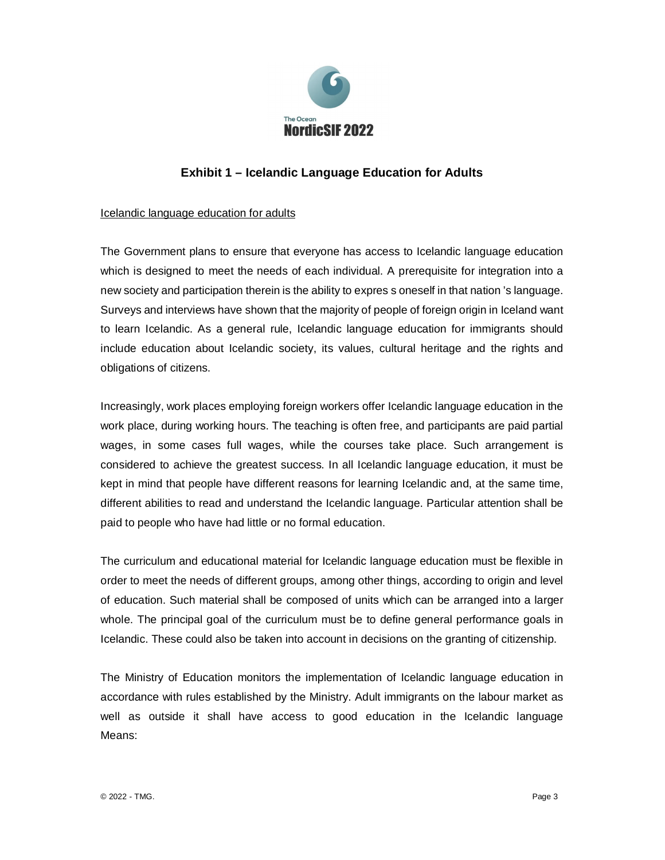

## **Exhibit 1 – Icelandic Language Education for Adults**

## Icelandic language education for adults

The Government plans to ensure that everyone has access to Icelandic language education which is designed to meet the needs of each individual. A prerequisite for integration into a new society and participation therein is the ability to expres s oneself in that nation 's language. Surveys and interviews have shown that the majority of people of foreign origin in Iceland want to learn Icelandic. As a general rule, Icelandic language education for immigrants should include education about Icelandic society, its values, cultural heritage and the rights and obligations of citizens.

Increasingly, work places employing foreign workers offer Icelandic language education in the work place, during working hours. The teaching is often free, and participants are paid partial wages, in some cases full wages, while the courses take place. Such arrangement is considered to achieve the greatest success. In all Icelandic language education, it must be kept in mind that people have different reasons for learning Icelandic and, at the same time, different abilities to read and understand the Icelandic language. Particular attention shall be paid to people who have had little or no formal education.

The curriculum and educational material for Icelandic language education must be flexible in order to meet the needs of different groups, among other things, according to origin and level of education. Such material shall be composed of units which can be arranged into a larger whole. The principal goal of the curriculum must be to define general performance goals in Icelandic. These could also be taken into account in decisions on the granting of citizenship.

The Ministry of Education monitors the implementation of Icelandic language education in accordance with rules established by the Ministry. Adult immigrants on the labour market as well as outside it shall have access to good education in the Icelandic language Means: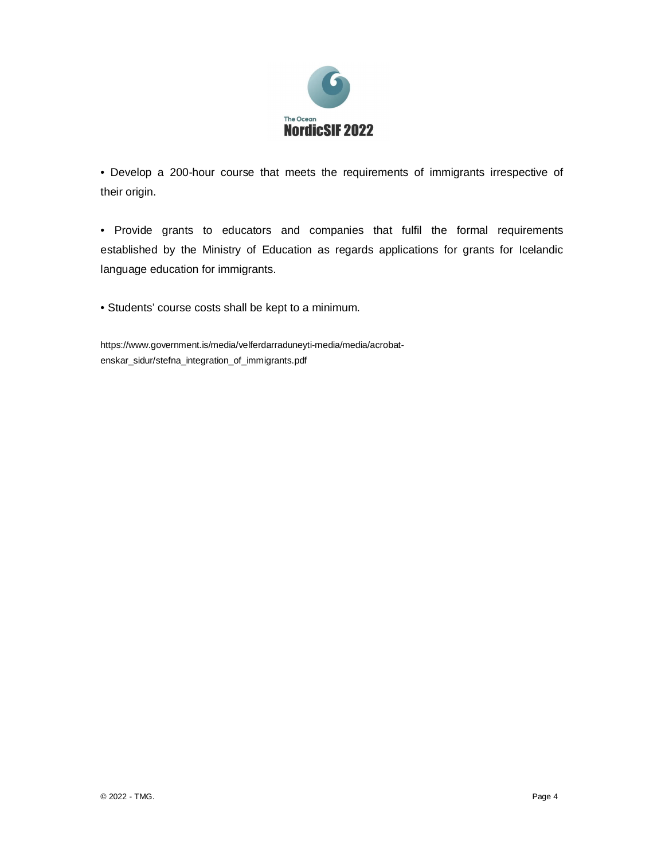

• Develop a 200-hour course that meets the requirements of immigrants irrespective of their origin.

• Provide grants to educators and companies that fulfil the formal requirements established by the Ministry of Education as regards applications for grants for Icelandic language education for immigrants.

• Students' course costs shall be kept to a minimum.

https://www.government.is/media/velferdarraduneyti-media/media/acrobatenskar\_sidur/stefna\_integration\_of\_immigrants.pdf